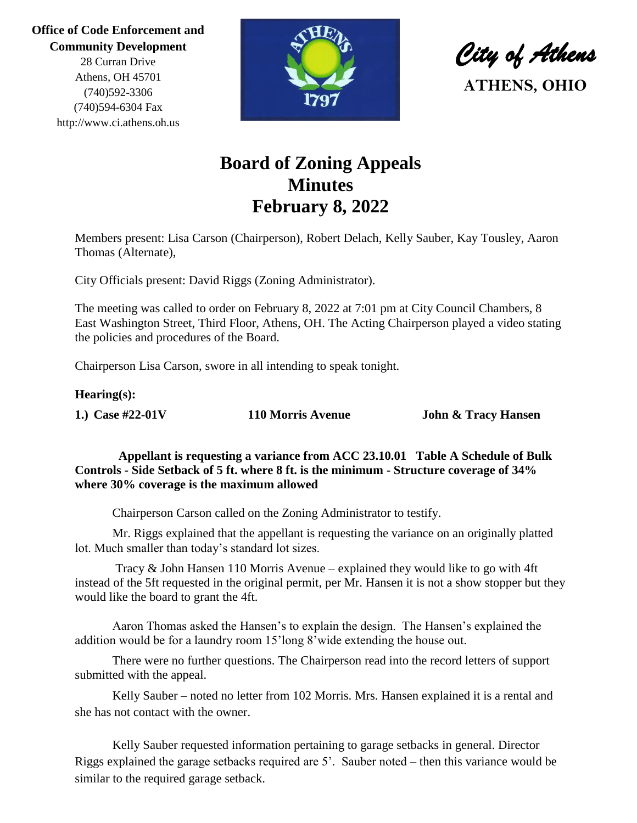**Office of Code Enforcement and Community Development**

> 28 Curran Drive Athens, OH 45701 (740)592-3306 (740)594-6304 Fax http://www.ci.athens.oh.us



*City of Athens*  **ATHENS, OHIO**

# **Board of Zoning Appeals Minutes February 8, 2022**

Members present: Lisa Carson (Chairperson), Robert Delach, Kelly Sauber, Kay Tousley, Aaron Thomas (Alternate),

City Officials present: David Riggs (Zoning Administrator).

The meeting was called to order on February 8, 2022 at 7:01 pm at City Council Chambers, 8 East Washington Street, Third Floor, Athens, OH. The Acting Chairperson played a video stating the policies and procedures of the Board.

Chairperson Lisa Carson, swore in all intending to speak tonight.

#### **Hearing(s):**

**1.) Case #22-01V 110 Morris Avenue John & Tracy Hansen** 

 **Appellant is requesting a variance from ACC 23.10.01 Table A Schedule of Bulk Controls - Side Setback of 5 ft. where 8 ft. is the minimum - Structure coverage of 34% where 30% coverage is the maximum allowed**

Chairperson Carson called on the Zoning Administrator to testify.

Mr. Riggs explained that the appellant is requesting the variance on an originally platted lot. Much smaller than today's standard lot sizes.

Tracy & John Hansen 110 Morris Avenue – explained they would like to go with 4ft instead of the 5ft requested in the original permit, per Mr. Hansen it is not a show stopper but they would like the board to grant the 4ft.

Aaron Thomas asked the Hansen's to explain the design. The Hansen's explained the addition would be for a laundry room 15'long 8'wide extending the house out.

There were no further questions. The Chairperson read into the record letters of support submitted with the appeal.

Kelly Sauber – noted no letter from 102 Morris. Mrs. Hansen explained it is a rental and she has not contact with the owner.

Kelly Sauber requested information pertaining to garage setbacks in general. Director Riggs explained the garage setbacks required are 5'. Sauber noted – then this variance would be similar to the required garage setback.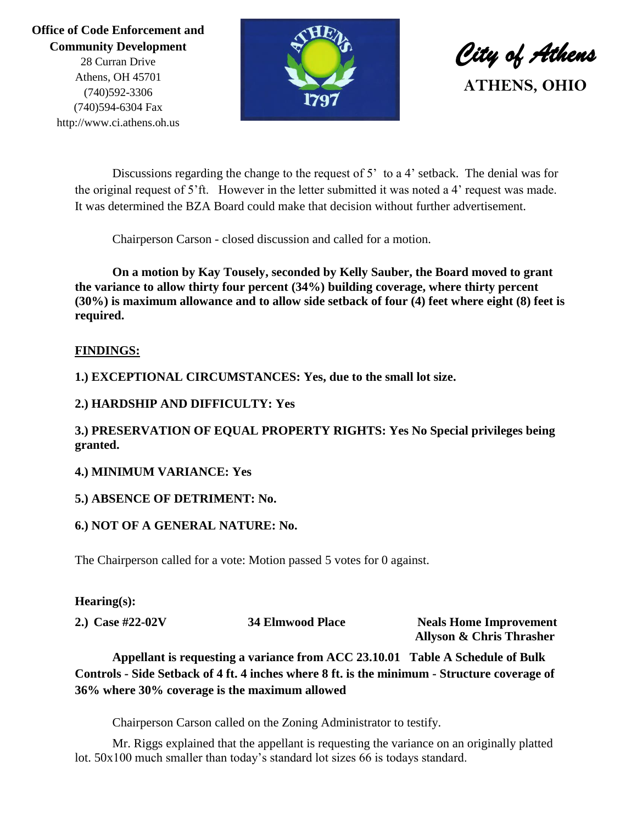## **Office of Code Enforcement and Community Development**

28 Curran Drive Athens, OH 45701 (740)592-3306 (740)594-6304 Fax http://www.ci.athens.oh.us



*City of Athens*  **ATHENS, OHIO**

Discussions regarding the change to the request of 5' to a 4' setback. The denial was for the original request of 5'ft. However in the letter submitted it was noted a 4' request was made. It was determined the BZA Board could make that decision without further advertisement.

Chairperson Carson - closed discussion and called for a motion.

**On a motion by Kay Tousely, seconded by Kelly Sauber, the Board moved to grant the variance to allow thirty four percent (34%) building coverage, where thirty percent (30%) is maximum allowance and to allow side setback of four (4) feet where eight (8) feet is required.**

### **FINDINGS:**

**1.) EXCEPTIONAL CIRCUMSTANCES: Yes, due to the small lot size.**

### **2.) HARDSHIP AND DIFFICULTY: Yes**

### **3.) PRESERVATION OF EQUAL PROPERTY RIGHTS: Yes No Special privileges being granted.**

#### **4.) MINIMUM VARIANCE: Yes**

#### **5.) ABSENCE OF DETRIMENT: No.**

#### **6.) NOT OF A GENERAL NATURE: No.**

The Chairperson called for a vote: Motion passed 5 votes for 0 against.

#### **Hearing(s):**

**2.** Case #22-02V 34 Elmwood Place Neals Home Improvement

 **Allyson & Chris Thrasher**

**Appellant is requesting a variance from ACC 23.10.01 Table A Schedule of Bulk Controls - Side Setback of 4 ft. 4 inches where 8 ft. is the minimum - Structure coverage of 36% where 30% coverage is the maximum allowed**

Chairperson Carson called on the Zoning Administrator to testify.

Mr. Riggs explained that the appellant is requesting the variance on an originally platted lot. 50x100 much smaller than today's standard lot sizes 66 is todays standard.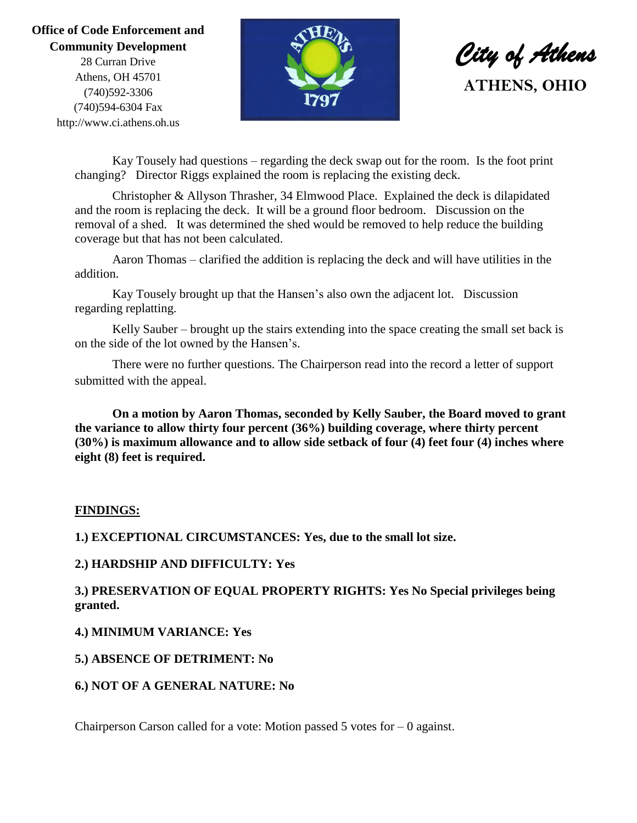### **Office of Code Enforcement and Community Development**

28 Curran Drive Athens, OH 45701 (740)592-3306 (740)594-6304 Fax http://www.ci.athens.oh.us



*City of Athens*  **ATHENS, OHIO**

Kay Tousely had questions – regarding the deck swap out for the room. Is the foot print changing? Director Riggs explained the room is replacing the existing deck.

Christopher & Allyson Thrasher, 34 Elmwood Place. Explained the deck is dilapidated and the room is replacing the deck. It will be a ground floor bedroom. Discussion on the removal of a shed. It was determined the shed would be removed to help reduce the building coverage but that has not been calculated.

Aaron Thomas – clarified the addition is replacing the deck and will have utilities in the addition.

Kay Tousely brought up that the Hansen's also own the adjacent lot. Discussion regarding replatting.

Kelly Sauber – brought up the stairs extending into the space creating the small set back is on the side of the lot owned by the Hansen's.

There were no further questions. The Chairperson read into the record a letter of support submitted with the appeal.

**On a motion by Aaron Thomas, seconded by Kelly Sauber, the Board moved to grant the variance to allow thirty four percent (36%) building coverage, where thirty percent (30%) is maximum allowance and to allow side setback of four (4) feet four (4) inches where eight (8) feet is required.**

#### **FINDINGS:**

**1.) EXCEPTIONAL CIRCUMSTANCES: Yes, due to the small lot size.**

#### **2.) HARDSHIP AND DIFFICULTY: Yes**

**3.) PRESERVATION OF EQUAL PROPERTY RIGHTS: Yes No Special privileges being granted.**

#### **4.) MINIMUM VARIANCE: Yes**

#### **5.) ABSENCE OF DETRIMENT: No**

#### **6.) NOT OF A GENERAL NATURE: No**

Chairperson Carson called for a vote: Motion passed  $5$  votes for  $-0$  against.